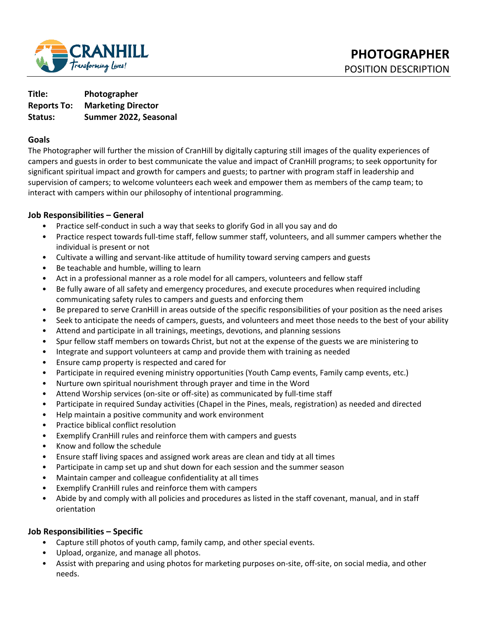

**Title: Photographer Reports To: Marketing Director Status: Summer 2022, Seasonal** 

## **Goals**

The Photographer will further the mission of CranHill by digitally capturing still images of the quality experiences of campers and guests in order to best communicate the value and impact of CranHill programs; to seek opportunity for significant spiritual impact and growth for campers and guests; to partner with program staff in leadership and supervision of campers; to welcome volunteers each week and empower them as members of the camp team; to interact with campers within our philosophy of intentional programming.

## **Job Responsibilities – General**

- Practice self-conduct in such a way that seeks to glorify God in all you say and do
- Practice respect towards full-time staff, fellow summer staff, volunteers, and all summer campers whether the individual is present or not
- Cultivate a willing and servant-like attitude of humility toward serving campers and guests
- Be teachable and humble, willing to learn
- Act in a professional manner as a role model for all campers, volunteers and fellow staff
- Be fully aware of all safety and emergency procedures, and execute procedures when required including communicating safety rules to campers and guests and enforcing them
- Be prepared to serve CranHill in areas outside of the specific responsibilities of your position as the need arises
- Seek to anticipate the needs of campers, guests, and volunteers and meet those needs to the best of your ability
- Attend and participate in all trainings, meetings, devotions, and planning sessions
- Spur fellow staff members on towards Christ, but not at the expense of the guests we are ministering to
- Integrate and support volunteers at camp and provide them with training as needed
- Ensure camp property is respected and cared for
- Participate in required evening ministry opportunities (Youth Camp events, Family camp events, etc.)
- Nurture own spiritual nourishment through prayer and time in the Word
- Attend Worship services (on-site or off-site) as communicated by full-time staff
- Participate in required Sunday activities (Chapel in the Pines, meals, registration) as needed and directed
- Help maintain a positive community and work environment
- Practice biblical conflict resolution
- Exemplify CranHill rules and reinforce them with campers and guests
- Know and follow the schedule
- Ensure staff living spaces and assigned work areas are clean and tidy at all times
- Participate in camp set up and shut down for each session and the summer season
- Maintain camper and colleague confidentiality at all times
- Exemplify CranHill rules and reinforce them with campers
- Abide by and comply with all policies and procedures as listed in the staff covenant, manual, and in staff orientation

### **Job Responsibilities – Specific**

- Capture still photos of youth camp, family camp, and other special events.
- Upload, organize, and manage all photos.
- Assist with preparing and using photos for marketing purposes on-site, off-site, on social media, and other needs.